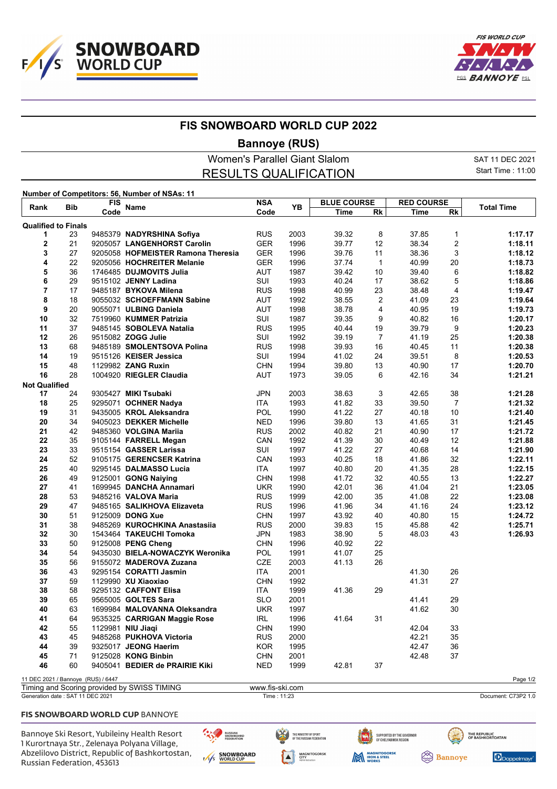



┯

## **FIS SNOWBOARD WORLD CUP 2022**

## **Bannoye (RUS)**

| Women's Parallel Giant Slalom                 | SAT 11 DEC 2021   |
|-----------------------------------------------|-------------------|
| <b>RESULTS QUALIFICATION</b>                  | Start Time: 11:00 |
| Number of Competitors: 56, Number of NSAs: 11 |                   |

| <b>Bib</b><br>Rank                 |    | FIS  | <b>Name</b>                                  | <b>NSA</b>         | YB   | <b>BLUE COURSE</b> |                | <b>RED COURSE</b> |                | <b>Total Time</b> |
|------------------------------------|----|------|----------------------------------------------|--------------------|------|--------------------|----------------|-------------------|----------------|-------------------|
|                                    |    | Code |                                              | Code               |      | <b>Time</b>        | <b>Rk</b>      | <b>Time</b>       | Rk             |                   |
| <b>Qualified to Finals</b>         |    |      |                                              |                    |      |                    |                |                   |                |                   |
| 1                                  | 23 |      | 9485379 NADYRSHINA Sofiya                    | <b>RUS</b>         | 2003 | 39.32              | 8              | 37.85             | $\mathbf{1}$   | 1:17.17           |
| $\mathbf{2}$                       | 21 |      | 9205057 LANGENHORST Carolin                  | <b>GER</b>         | 1996 | 39.77              | 12             | 38.34             | 2              | 1:18.11           |
| 3                                  | 27 |      | 9205058 HOFMEISTER Ramona Theresia           | <b>GER</b>         | 1996 | 39.76              | 11             | 38.36             | 3              | 1:18.12           |
| 4                                  | 22 |      | 9205056 HOCHREITER Melanie                   | <b>GER</b>         | 1996 | 37.74              | $\mathbf{1}$   | 40.99             | 20             | 1:18.73           |
| 5                                  | 36 |      | 1746485 DUJMOVITS Julia                      | AUT                | 1987 | 39.42              | 10             | 39.40             | 6              | 1:18.82           |
| 6                                  | 29 |      | 9515102 JENNY Ladina                         | SUI                | 1993 | 40.24              | 17             | 38.62             | 5              | 1:18.86           |
| $\overline{7}$                     | 17 |      | 9485187 BYKOVA Milena                        | <b>RUS</b>         | 1998 | 40.99              | 23             | 38.48             | $\overline{4}$ | 1:19.47           |
| 8                                  | 18 |      | 9055032 SCHOEFFMANN Sabine                   | <b>AUT</b>         | 1992 | 38.55              | $\overline{2}$ | 41.09             | 23             | 1:19.64           |
| 9                                  | 20 |      | 9055071 ULBING Daniela                       | <b>AUT</b>         | 1998 | 38.78              | 4              | 40.95             | 19             | 1:19.73           |
| 10                                 | 32 |      | 7519960 KUMMER Patrizia                      | SUI                | 1987 | 39.35              | 9              | 40.82             | 16             | 1:20.17           |
| 11                                 | 37 |      | 9485145 SOBOLEVA Natalia                     | <b>RUS</b>         | 1995 | 40.44              | 19             | 39.79             | 9              | 1:20.23           |
| 12                                 | 26 |      | 9515082 ZOGG Julie                           | SUI                | 1992 | 39.19              | $\overline{7}$ | 41.19             | 25             | 1:20.38           |
| 13                                 | 68 |      | 9485189 SMOLENTSOVA Polina                   | <b>RUS</b>         | 1998 | 39.93              | 16             | 40.45             | 11             | 1:20.38           |
| 14                                 | 19 |      | 9515126 KEISER Jessica                       | SUI                | 1994 | 41.02              | 24             | 39.51             | 8              | 1:20.53           |
| 15                                 | 48 |      | 1129982 ZANG Ruxin                           | <b>CHN</b>         | 1994 | 39.80              | 13             | 40.90             | 17             | 1:20.70           |
| 16                                 | 28 |      | 1004920 RIEGLER Claudia                      | <b>AUT</b>         | 1973 | 39.05              | 6              | 42.16             | 34             | 1:21.21           |
| <b>Not Qualified</b>               |    |      |                                              |                    |      |                    |                |                   |                |                   |
| 17                                 | 24 |      | 9305427 MIKI Tsubaki                         | <b>JPN</b>         | 2003 | 38.63              | 3              | 42.65             | 38             | 1:21.28           |
| 18                                 | 25 |      | 9295071 OCHNER Nadya                         | ITA                | 1993 | 41.82              | 33             | 39.50             | $\overline{7}$ | 1:21.32           |
| 19                                 | 31 |      | 9435005 KROL Aleksandra                      | POL                | 1990 | 41.22              | 27             | 40.18             | 10             | 1:21.40           |
| 20                                 | 34 |      | 9405023 DEKKER Michelle                      | <b>NED</b>         | 1996 | 39.80              | 13             | 41.65             | 31             | 1:21.45           |
| 21                                 | 42 |      | 9485360 VOLGINA Mariia                       | <b>RUS</b>         | 2002 | 40.82              | 21             | 40.90             | 17             | 1:21.72           |
| 22                                 | 35 |      | 9105144 FARRELL Megan                        | CAN                | 1992 | 41.39              | 30             | 40.49             | 12             | 1:21.88           |
| 23                                 | 33 |      | 9515154 GASSER Larissa                       | SUI                | 1997 | 41.22              | 27             | 40.68             | 14             | 1:21.90           |
| 24                                 | 52 |      | 9105175 GERENCSER Katrina                    | CAN                | 1993 | 40.25              | 18             | 41.86             | 32             | 1:22.11           |
| 25                                 | 40 |      | 9295145 DALMASSO Lucia                       | ITA                | 1997 | 40.80              | 20             | 41.35             | 28             | 1:22.15           |
| 26                                 | 49 |      | 9125001 GONG Naiying                         | <b>CHN</b>         | 1998 | 41.72              | 32             | 40.55             | 13             | 1:22.27           |
| 27                                 | 41 |      | 1699945 DANCHA Annamari                      | <b>UKR</b>         | 1990 | 42.01              | 36             | 41.04             | 21             | 1:23.05           |
| 28                                 | 53 |      | 9485216 VALOVA Maria                         | <b>RUS</b>         | 1999 | 42.00              | 35             | 41.08             | 22             | 1:23.08           |
| 29                                 | 47 |      | 9485165 SALIKHOVA Elizaveta                  | <b>RUS</b>         | 1996 | 41.96              | 34             | 41.16             | 24             | 1:23.12           |
| 30                                 | 51 |      | 9125009 DONG Xue                             | <b>CHN</b>         | 1997 | 43.92              | 40             | 40.80             | 15             | 1:24.72           |
| 31                                 | 38 |      | 9485269 KUROCHKINA Anastasiia                | <b>RUS</b>         | 2000 | 39.83              | 15             | 45.88             | 42             | 1:25.71           |
| 32                                 | 30 |      | 1543464 TAKEUCHI Tomoka                      | JPN                | 1983 | 38.90              | 5              | 48.03             | 43             | 1:26.93           |
| 33                                 | 50 |      | 9125008 PENG Cheng                           | <b>CHN</b>         | 1996 | 40.92              | 22             |                   |                |                   |
| 34                                 | 54 |      | 9435030 BIELA-NOWACZYK Weronika              | POL                | 1991 | 41.07              | 25             |                   |                |                   |
| 35                                 | 56 |      | 9155072 MADEROVA Zuzana                      | <b>CZE</b>         | 2003 | 41.13              | 26             |                   |                |                   |
| 36                                 | 43 |      | 9295154 CORATTI Jasmin                       | ITA                | 2001 |                    |                | 41.30             | 26             |                   |
| 37                                 | 59 |      | 1129990 XU Xiaoxiao                          | <b>CHN</b>         | 1992 |                    |                | 41.31             | 27             |                   |
| 38                                 | 58 |      | 9295132 CAFFONT Elisa                        | ITA                | 1999 | 41.36              | 29             |                   |                |                   |
| 39                                 | 65 |      | 9565005 GOLTES Sara                          | <b>SLO</b>         | 2001 |                    |                | 41.41             | 29             |                   |
| 40                                 | 63 |      | 1699984 MALOVANNA Oleksandra                 | <b>UKR</b>         | 1997 |                    |                | 41.62             | 30             |                   |
| 41                                 | 64 |      | 9535325 CARRIGAN Maggie Rose                 | IRL                | 1996 | 41.64              | 31             |                   |                |                   |
| 42                                 | 55 |      | 1129981 NIU Jiaqi                            | <b>CHN</b>         | 1990 |                    |                | 42.04             | 33             |                   |
| 43                                 | 45 |      | 9485268 PUKHOVA Victoria                     | <b>RUS</b>         | 2000 |                    |                | 42.21             | 35             |                   |
| 44                                 | 39 |      | 9325017 JEONG Haerim                         | <b>KOR</b>         | 1995 |                    |                | 42.47             | 36             |                   |
| 45                                 | 71 |      | 9125028 KONG Binbin                          | <b>CHN</b>         | 2001 |                    |                | 42.48             | 37             |                   |
| 46                                 | 60 |      | 9405041 BEDIER de PRAIRIE Kiki               | <b>NED</b>         | 1999 | 42.81              | 37             |                   |                |                   |
|                                    |    |      |                                              |                    |      |                    |                |                   |                |                   |
| 11 DEC 2021 / Bannoye (RUS) / 6447 |    |      | Timing and Cooring provided by CIMICO TIMINO | ustar fin ald nome |      |                    |                |                   |                | Page 1/2          |

Timing and Scoring provided by SWISS TIMING www.fis-ski.com<br>Generation date : SAT 11 DEC 2021 Document: C73P2 1.0 Time : 11:23 Document: C73P2 1.0

 $\blacktriangle$ 

### FIS SNOWBOARD WORLD CUP BANNOYE

Bannoye Ski Resort, Yubileiny Health Resort 1 Kurortnaya Str., Zelenaya Polyana Village, Abzelilovo District, Republic of Bashkortostan, Russian Federation, 453613





SUPPORTED BY THE GOVERNOR<br>Of Chelyabinsk region

**Bannoye** 



THE REPUBLIC<br>OF BASHKORTOATAN